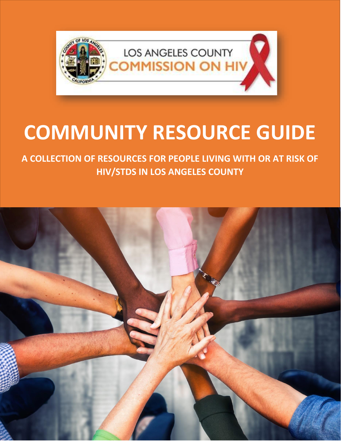

# **COMMUNITY RESOURCE GUIDE**

**A COLLECTION OF RESOURCES FOR PEOPLE LIVING WITH OR AT RISK OF HIV/STDS IN LOS ANGELES COUNTY**

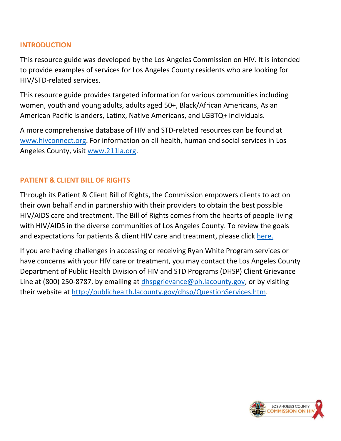## **INTRODUCTION**

This resource guide was developed by the Los Angeles Commission on HIV. It is intended to provide examples of services for Los Angeles County residents who are looking for HIV/STD-related services.

This resource guide provides targeted information for various communities including women, youth and young adults, adults aged 50+, Black/African Americans, Asian American Pacific Islanders, Latinx, Native Americans, and LGBTQ+ individuals.

A more comprehensive database of HIV and STD-related resources can be found at [www.hivconnect.org.](http://www.hivconnect.org/) For information on all health, human and social services in Los Angeles County, visit [www.211la.org.](http://www.211la.org/)

## **PATIENT & CLIENT BILL OF RIGHTS**

Through its Patient & Client Bill of Rights, the Commission empowers clients to act on their own behalf and in partnership with their providers to obtain the best possible HIV/AIDS care and treatment. The Bill of Rights comes from the hearts of people living with HIV/AIDS in the diverse communities of Los Angeles County. To review the goals and expectations for patients & client HIV care and treatment, please click [here.](http://hiv.lacounty.gov/LinkClick.aspx?fileticket=sT1jG0ptxo0%3d&portalid=22)

If you are having challenges in accessing or receiving Ryan White Program services or have concerns with your HIV care or treatment, you may contact the Los Angeles County Department of Public Health Division of HIV and STD Programs (DHSP) Client Grievance Line at (800) 250-8787, by emailing at [dhspgrievance@ph.lacounty.gov,](mailto:dhspgrievance@ph.lacounty.gov) or by visiting their website at [http://publichealth.lacounty.gov/dhsp/QuestionServices.htm.](http://publichealth.lacounty.gov/dhsp/QuestionServices.htm)

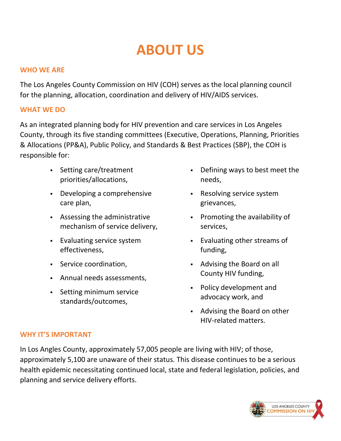## **ABOUT US**

## **WHO WE ARE**

The Los Angeles County Commission on HIV (COH) serves as the local planning council for the planning, allocation, coordination and delivery of HIV/AIDS services.

## **WHAT WE DO**

As an integrated planning body for HIV prevention and care services in Los Angeles County, through its five standing committees (Executive, Operations, Planning, Priorities & Allocations (PP&A), Public Policy, and Standards & Best Practices (SBP), the COH is responsible for:

- Setting care/treatment priorities/allocations,
- Developing a comprehensive care plan,
- Assessing the administrative mechanism of service delivery,
- Evaluating service system effectiveness,
- Service coordination,
- Annual needs assessments,
- Setting minimum service standards/outcomes,
- Defining ways to best meet the needs,
- Resolving service system grievances,
- Promoting the availability of services,
- Evaluating other streams of funding,
- Advising the Board on all County HIV funding,
- Policy development and advocacy work, and
- Advising the Board on other HIV-related matters.

## **WHY IT'S IMPORTANT**

In Los Angles County, approximately 57,005 people are living with HIV; of those, approximately 5,100 are unaware of their status. This disease continues to be a serious health epidemic necessitating continued local, state and federal legislation, policies, and planning and service delivery efforts.

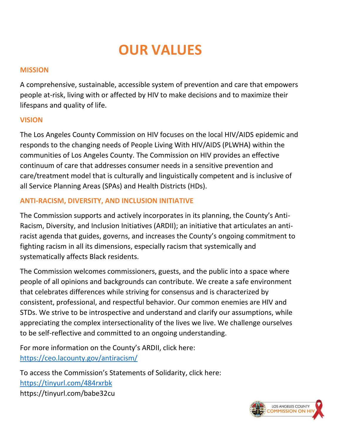## **OUR VALUES**

## **MISSION**

A comprehensive, sustainable, accessible system of prevention and care that empowers people at-risk, living with or affected by HIV to make decisions and to maximize their lifespans and quality of life.

## **VISION**

The Los Angeles County Commission on HIV focuses on the local HIV/AIDS epidemic and responds to the changing needs of People Living With HIV/AIDS (PLWHA) within the communities of Los Angeles County. The Commission on HIV provides an effective continuum of care that addresses consumer needs in a sensitive prevention and care/treatment model that is culturally and linguistically competent and is inclusive of all Service Planning Areas (SPAs) and Health Districts (HDs).

## **ANTI-RACISM, DIVERSITY, AND INCLUSION INITIATIVE**

The Commission supports and actively incorporates in its planning, the County's Anti-Racism, Diversity, and Inclusion Initiatives (ARDII); an initiative that articulates an antiracist agenda that guides, governs, and increases the County's ongoing commitment to fighting racism in all its dimensions, especially racism that systemically and systematically affects Black residents.

The Commission welcomes commissioners, guests, and the public into a space where people of all opinions and backgrounds can contribute. We create a safe environment that celebrates differences while striving for consensus and is characterized by consistent, professional, and respectful behavior. Our common enemies are HIV and STDs. We strive to be introspective and understand and clarify our assumptions, while appreciating the complex intersectionality of the lives we live. We challenge ourselves to be self-reflective and committed to an ongoing understanding.

For more information on the County's ARDII, click here: <https://ceo.lacounty.gov/antiracism/>

To access the Commission's Statements of Solidarity, click here: <https://tinyurl.com/484rxrbk> https://tinyurl.com/babe32cu

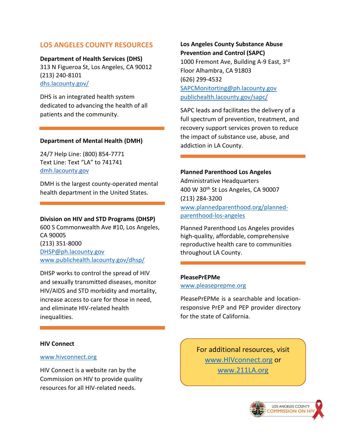## **LOS ANGELES COUNTY RESOURCES**

**Department of Health Services (DHS)** 313 N Figueroa St, Los Angeles, CA 90012 (213) 240-8101 [dhs.lacounty.gov/](https://dhs.lacounty.gov/)

DHS is an integrated health system dedicated to advancing the health of all patients and the community.

#### **Department of Mental Health (DMH)**

24/7 Help Line: (800) 854-7771 Text Line: Text "LA" to 741741 [dmh.lacounty.gov](https://dmh.lacounty.gov/)

DMH is the largest county-operated mental health department in the United States.

#### **Division on HIV and STD Programs (DHSP)**

600 S Commonwealth Ave #10, Los Angeles, CA 90005 (213) 351-8000 [DHSP@ph.lacounty.gov](mailto:DHSP@ph.lacounty.gov) [www.publichealth.lacounty.gov/dhsp/](http://www.publichealth.lacounty.gov/dhsp/)

DHSP works to control the spread of HIV and sexually transmitted diseases, monitor HIV/AIDS and STD morbidity and mortality, increase access to care for those in need, and eliminate HIV-related health inequalities.

#### **HIV Connect**

#### [www.hivconnect.org](http://www.hivconnect.org/)

HIV Connect is a website ran by the Commission on HIV to provide quality resources for all HIV-related needs.

## **Los Angeles County Substance Abuse Prevention and Control (SAPC)**

1000 Fremont Ave, Building A-9 East, 3rd Floor Alhambra, CA 91803 (626) 299-4532 [SAPCMonitorting@ph.lacounty.gov](mailto:SAPCMonitorting@ph.lacounty.gov) [publichealth.lacounty.gov/sapc/](http://publichealth.lacounty.gov/sapc/)

SAPC leads and facilitates the delivery of a full spectrum of prevention, treatment, and recovery support services proven to reduce the impact of substance use, abuse, and addiction in LA County.

#### **Planned Parenthood Los Angeles**

Administrative Headquarters 400 W 30<sup>th</sup> St Los Angeles, CA 90007 (213) 284-3200 [www.plannedparenthood.org/planned](https://www.plannedparenthood.org/planned-parenthood-los-angeles)[parenthood-los-angeles](https://www.plannedparenthood.org/planned-parenthood-los-angeles)

Planned Parenthood Los Angeles provides high-quality, affordable, comprehensive reproductive health care to communities throughout LA County.

#### **PleasePrEPMe**

[www.pleaseprepme.org](http://www.pleaseprepme.org/)

PleasePrEPMe is a searchable and locationresponsive PrEP and PEP provider directory for the state of California.

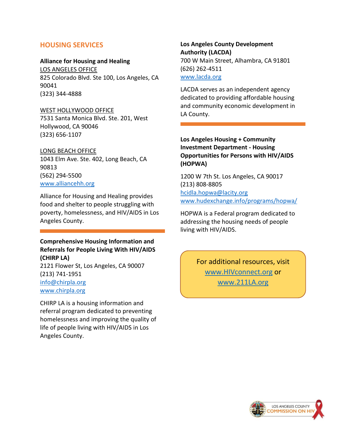## **HOUSING SERVICES**

#### **Alliance for Housing and Healing**

LOS ANGELES OFFICE 825 Colorado Blvd. Ste 100, Los Angeles, CA 90041 (323) 344-4888

#### WEST HOLLYWOOD OFFICE

7531 Santa Monica Blvd. Ste. 201, West Hollywood, CA 90046 (323) 656-1107

#### LONG BEACH OFFICE

1043 Elm Ave. Ste. 402, Long Beach, CA 90813 (562) 294-5500 [www.alliancehh.org](http://www.alliancehh.org/)

Alliance for Housing and Healing provides food and shelter to people struggling with poverty, homelessness, and HIV/AIDS in Los Angeles County.

## **Comprehensive Housing Information and Referrals for People Living With HIV/AIDS (CHIRP LA)**

2121 Flower St, Los Angeles, CA 90007 (213) 741-1951 [info@chirpla.org](mailto:info@chirpla.org) [www.chirpla.org](http://www.chirpla.org/)

CHIRP LA is a housing information and referral program dedicated to preventing homelessness and improving the quality of life of people living with HIV/AIDS in Los Angeles County.

**Los Angeles County Development Authority (LACDA)** 700 W Main Street, Alhambra, CA 91801 (626) 262-4511 [www.lacda.org](https://www.lacda.org/)

LACDA serves as an independent agency dedicated to providing affordable housing and community economic development in LA County.

## **Los Angeles Housing + Community Investment Department - Housing Opportunities for Persons with HIV/AIDS (HOPWA)**

1200 W 7th St. Los Angeles, CA 90017 (213) 808-8805 [hcidla.hopwa@lacity.org](mailto:hcidla.hopwa@lacity.org) [www.hudexchange.info/programs/hopwa/](http://www.hudexchange.info/programs/hopwa/)

HOPWA is a Federal program dedicated to addressing the housing needs of people living with HIV/AIDS.

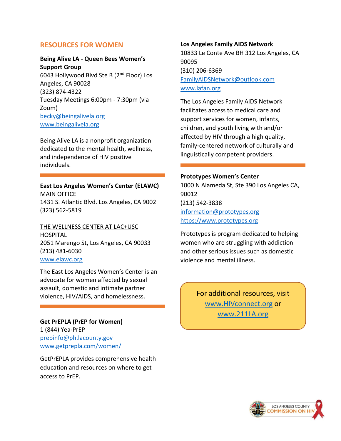## **RESOURCES FOR WOMEN**

### **Being Alive LA - Queen Bees Women's Support Group**

6043 Hollywood Blvd Ste B (2nd Floor) Los Angeles, CA 90028 (323) 874-4322 Tuesday Meetings 6:00pm - 7:30pm (via Zoom) [becky@beingalivela.org](mailto:becky@beingalivela.org) [www.beingalivela.org](http://www.beingalivela.org/)

Being Alive LA is a nonprofit organization dedicated to the mental health, wellness, and independence of HIV positive individuals.

**East Los Angeles Women's Center (ELAWC)** MAIN OFFICE 1431 S. Atlantic Blvd. Los Angeles, CA 9002 (323) 562-5819

THE WELLNESS CENTER AT LAC+USC HOSPITAL 2051 Marengo St, Los Angeles, CA 90033 (213) 481-6030 [www.elawc.org](http://www.elawc.org/)

The East Los Angeles Women's Center is an advocate for women affected by sexual assault, domestic and intimate partner violence, HIV/AIDS, and homelessness.

**Get PrEPLA (PrEP for Women)**  1 (844) Yea-PrEP [prepinfo@ph.lacounty.gov](mailto:prepinfo@ph.lacounty.gov) [www.getprepla.com/women/](http://www.getprepla.com/women/)

GetPrEPLA provides comprehensive health education and resources on where to get access to PrEP.

#### **Los Angeles Family AIDS Network**

10833 Le Conte Ave BH 312 Los Angeles, CA 90095 (310) 206-6369 [FamilyAIDSNetwork@outlook.com](mailto:FamilyAIDSNetwork@outlook.com) [www.lafan.org](http://www.lafan.org/)

The Los Angeles Family AIDS Network facilitates access to medical care and support services for women, infants, children, and youth living with and/or affected by HIV through a high quality, family-centered network of culturally and linguistically competent providers.

#### **Prototypes Women's Center**

1000 N Alameda St, Ste 390 Los Angeles CA, 90012 (213) 542-3838 [information@prototypes.org](mailto:information@prototypes.org) [https://www.prototypes.org](https://www.prototypes.org/)

Prototypes is program dedicated to helping women who are struggling with addiction and other serious issues such as domestic violence and mental illness.

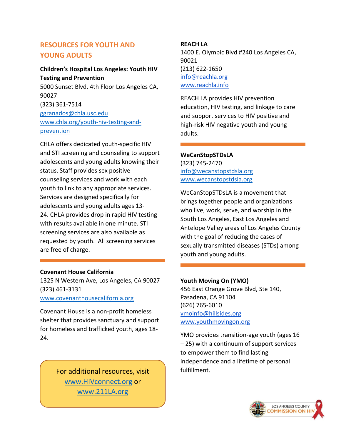## **RESOURCES FOR YOUTH AND YOUNG ADULTS**

## **Children's Hospital Los Angeles: Youth HIV Testing and Prevention**  5000 Sunset Blvd. 4th Floor Los Angeles CA, 90027 (323) 361-7514 [ggranados@chla.usc.edu](mailto:ggranados@chla.usc.edu) [www.chla.org/youth-hiv-testing-and](https://www.chla.org/youth-hiv-testing-and-prevention)[prevention](https://www.chla.org/youth-hiv-testing-and-prevention)

CHLA offers dedicated youth-specific HIV and STI screening and counseling to support adolescents and young adults knowing their status. Staff provides sex positive counseling services and work with each youth to link to any appropriate services. Services are designed specifically for adolescents and young adults ages 13- 24. CHLA provides drop in rapid HIV testing with results available in one minute. STI screening services are also available as requested by youth. All screening services are free of charge.

## **Covenant House California**

1325 N Western Ave, Los Angeles, CA 90027 (323) 461-3131 [www.covenanthousecalifornia.org](http://www.covenanthousecalifornia.org/)

Covenant House is a non-profit homeless shelter that provides sanctuary and support for homeless and trafficked youth, ages 18- 24.

> For additional resources, visit Fulfillment. [www.HIVconnect.org](http://www.hivconnect.org/) or [www.211LA.org](http://www.211la.org/)

## **REACH LA**

1400 E. Olympic Blvd #240 Los Angeles CA, 90021 (213) 622-1650 [info@reachla.org](mailto:info@reachla.org) [www.reachla.info](https://www.reachla.info/)

REACH LA provides HIV prevention education, HIV testing, and linkage to care and support services to HIV positive and high-risk HIV negative youth and young adults.

## **WeCanStopSTDsLA**

(323) 745-2470 [info@wecanstopstdsla.org](mailto:info@wecanstopstdsla.org) [www.wecanstopstdsla.org](http://www.wecanstopstdsla.org/)

WeCanStopSTDsLA is a movement that brings together people and organizations who live, work, serve, and worship in the South Los Angeles, East Los Angeles and Antelope Valley areas of Los Angeles County with the goal of reducing the cases of sexually transmitted diseases (STDs) among youth and young adults.

## **Youth Moving On (YMO)**

456 East Orange Grove Blvd, Ste 140, Pasadena, CA 91104 (626) 765-6010 [ymoinfo@hillsides.org](mailto:ymoinfo@hillsides.org) [www.youthmovingon.org](https://www.youthmovingon.org/)

YMO provides transition-age youth (ages 16 – 25) with a continuum of support services to empower them to find lasting independence and a lifetime of personal

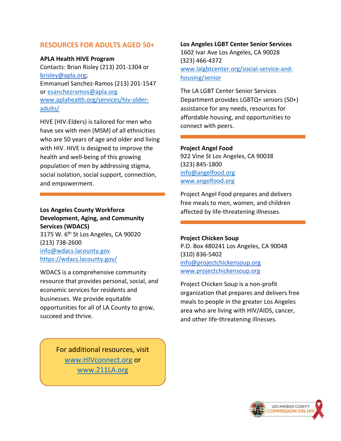## **RESOURCES FOR ADULTS AGED 50+**

## **APLA Health HIVE Program**

Contacts: Brian Risley (213) 201-1304 or [brisley@apla.org;](mailto:brisley@apla.org) Emmanuel Sanchez-Ramos (213) 201-1547 or [esanchezramos@apla.org](mailto:esanchezramos@apla.org) [www.aplahealth.org/services/hiv-older](http://www.aplahealth.org/services/hiv-older-adults/)[adults/](http://www.aplahealth.org/services/hiv-older-adults/)

HIVE (HIV-Elders) is tailored for men who have sex with men (MSM) of all ethnicities who are 50 years of age and older and living with HIV. HIVE is designed to improve the health and well-being of this growing population of men by addressing stigma, social isolation, social support, connection, and empowerment.

## **Los Angeles County Workforce Development, Aging, and Community Services (WDACS)** 3175 W. 6th St Los Angeles, CA 90020 (213) 738-2600 [info@wdacs.lacounty.gov](mailto:info@wdacs.lacounty.gov) <https://wdacs.lacounty.gov/>

WDACS is a comprehensive community resource that provides personal, social, and economic services for residents and businesses. We provide equitable opportunities for all of LA County to grow, succeed and thrive.

**Los Angeles LGBT Center Senior Services** 1602 Ivar Ave Los Angeles, CA 90028 (323) 466-4372 [www.lalgbtcenter.org/social-service-and](http://www.lalgbtcenter.org/social-service-and-housing/senior)[housing/senior](http://www.lalgbtcenter.org/social-service-and-housing/senior)

The LA LGBT Center Senior Services Department provides LGBTQ+ seniors (50+) assistance for any needs, resources for affordable housing, and opportunities to connect with peers.

## **Project Angel Food**

922 Vine St Los Angeles, CA 90038 (323) 845-1800 [info@angelfood.org](mailto:info@angelfood.org) [www.angelfood.org](http://www.angelfood.org/)

Project Angel Food prepares and delivers free meals to men, women, and children affected by life-threatening illnesses.

## **Project Chicken Soup**

P.O. Box 480241 Los Angeles, CA 90048 (310) 836-5402 [info@projectchickensoup.org](mailto:info@projectchickensoup.org) [www.projectchickensoup.org](http://www.projectchickensoup.org/)

Project Chicken Soup is a non-profit organization that prepares and delivers free meals to people in the greater Los Angeles area who are living with HIV/AIDS, cancer, and other life-threatening illnesses.

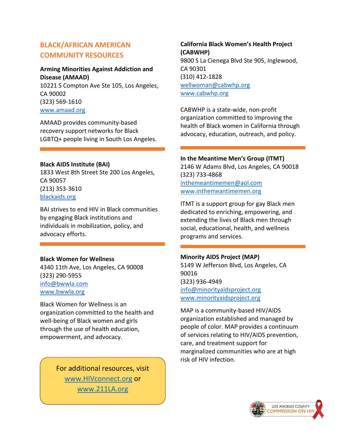## **BLACK/AFRICAN AMERICAN COMMUNITY RESOURCES**

## **Arming Minorities Against Addiction and Disease (AMAAD)**

10221 S Compton Ave Ste 105, Los Angeles, CA 90002 (323) 569-1610 [www.amaad.org](http://www.amaad.org/)

AMAAD provides community-based recovery support networks for Black LGBTQ+ people living in South Los Angeles.

## **Black AIDS Institute (BAI)**

1833 West 8th Street Ste 200 Los Angeles, CA 90057 (213) 353-3610 [blackaids.org](https://blackaids.org/)

BAI strives to end HIV in Black communities by engaging Black institutions and individuals in mobilization, policy, and advocacy efforts.

## **Black Women for Wellness**

4340 11th Ave, Los Angeles, CA 90008 (323) 290-5955 [info@bwwla.com](mailto:info@bwwla.com) [www.bwwla.org](https://www.bwwla.org/)

Black Women for Wellness is an organization committed to the health and well-being of Black women and girls through the use of health education, empowerment, and advocacy.

> For additional resources, visit [www.HIVconnect.org](http://www.hivconnect.org/) or [www.211LA.org](http://www.211la.org/)

**California Black Women's Health Project (CABWHP)**  9800 S La Cienega Blvd Ste 905, Inglewood, CA 90301 (310) 412-1828 [wellwoman@cabwhp.org](mailto:wellwoman@cabwhp.org) [www.cabwhp.org](http://www.cabwhp.org/)

CABWHP is a state-wide, non-profit organization committed to improving the health of Black women in California through advocacy, education, outreach, and policy.

## **In the Meantime Men's Group (ITMT)**

2146 W Adams Blvd, Los Angeles, CA 90018 (323) 733-4868 [inthemeantimemen@aol.com](mailto:inthemeantimemen@aol.com) [www.inthemeantimemen.org](http://www.inthemeantimemen.org/)

ITMT is a support group for gay Black men dedicated to enriching, empowering, and extending the lives of Black men through social, educational, health, and wellness programs and services.

## **Minority AIDS Project (MAP)**

5149 W Jefferson Blvd, Los Angeles, CA 90016 (323) 936-4949 [info@minorityaidsproject.org](mailto:info@minorityaidsproject.org) [www.minorityaidsproject.org](http://www.minorityaidsproject.org/)

MAP is a community-based HIV/AIDS organization established and managed by people of color. MAP provides a continuum of services relating to HIV/AIDS prevention, care, and treatment support for marginalized communities who are at high risk of HIV infection.

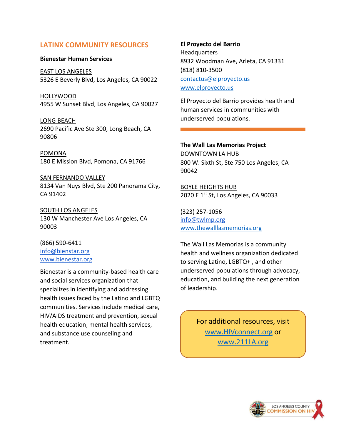## **LATINX COMMUNITY RESOURCES**

#### **Bienestar Human Services**

EAST LOS ANGELES 5326 E Beverly Blvd, Los Angeles, CA 90022

HOLLYWOOD 4955 W Sunset Blvd, Los Angeles, CA 90027

LONG BEACH 2690 Pacific Ave Ste 300, Long Beach, CA 90806

POMONA 180 E Mission Blvd, Pomona, CA 91766

SAN FERNANDO VALLEY 8134 Van Nuys Blvd, Ste 200 Panorama City, CA 91402

SOUTH LOS ANGELES 130 W Manchester Ave Los Angeles, CA 90003

(866) 590-6411 [info@bienstar.org](mailto:info@bienstar.org) [www.bienestar.org](https://www.bienestar.org/)

Bienestar is a community-based health care and social services organization that specializes in identifying and addressing health issues faced by the Latino and LGBTQ communities. Services include medical care, HIV/AIDS treatment and prevention, sexual health education, mental health services, and substance use counseling and treatment.

#### **El Proyecto del Barrio**

Headquarters 8932 Woodman Ave, Arleta, CA 91331 (818) 810-3500 [contactus@elproyecto.us](mailto:contactus@elproyecto.us) [www.elproyecto.us](http://www.elproyecto.us/)

El Proyecto del Barrio provides health and human services in communities with underserved populations.

## **The Wall Las Memorias Project** DOWNTOWN LA HUB

800 W. Sixth St, Ste 750 Los Angeles, CA 90042

BOYLE HEIGHTS HUB 2020 E 1<sup>st</sup> St, Los Angeles, CA 90033

(323) 257-1056 [info@twlmp.org](mailto:info@twlmp.org) [www.thewalllasmemorias.org](http://www.thewalllasmemorias.org/)

The Wall Las Memorias is a community health and wellness organization dedicated to serving Latino, LGBTQ+ , and other underserved populations through advocacy, education, and building the next generation of leadership.

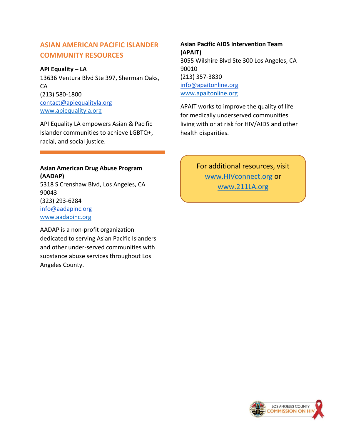## **ASIAN AMERICAN PACIFIC ISLANDER COMMUNITY RESOURCES**

### **API Equality – LA**

13636 Ventura Blvd Ste 397, Sherman Oaks, CA (213) 580-1800 [contact@apiequalityla.org](mailto:contact@apiequalityla.org) [www.apiequalityla.org](http://www.apiequalityla.org/)

API Equality LA empowers Asian & Pacific Islander communities to achieve LGBTQ+, racial, and social justice.

## **Asian American Drug Abuse Program (AADAP)**

5318 S Crenshaw Blvd, Los Angeles, CA 90043 (323) 293-6284 [info@aadapinc.org](mailto:info@aadapinc.org) [www.aadapinc.org](http://www.aadapinc.org/)

AADAP is a non-profit organization dedicated to serving Asian Pacific Islanders and other under-served communities with substance abuse services throughout Los Angeles County.

**Asian Pacific AIDS Intervention Team (APAIT)** 3055 Wilshire Blvd Ste 300 Los Angeles, CA 90010 (213) 357-3830 [info@apaitonline.org](mailto:info@apaitonline.org) [www.apaitonline.org](http://www.apaitonline.org/)

APAIT works to improve the quality of life for medically underserved communities living with or at risk for HIV/AIDS and other health disparities.

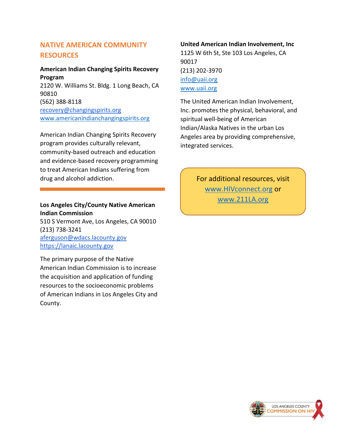## **NATIVE AMERICAN COMMUNITY RESOURCES**

## **American Indian Changing Spirits Recovery Program**  2120 W. Williams St. Bldg. 1 Long Beach, CA 90810 (562) 388-8118 [recovery@changingspirits.org](mailto:recovery@changingspirits.org) [www.americanindianchangingspirits.org](http://www.americanindianchangingspirits.org/)

American Indian Changing Spirits Recovery program provides culturally relevant, community-based outreach and education and evidence-based recovery programming

to treat American Indians suffering from drug and alcohol addiction.

## **Los Angeles City/County Native American Indian Commission**

510 S Vermont Ave, Los Angeles, CA 90010 (213) 738-3241 [aferguson@wdacs.lacounty.gov](mailto:aferguson@wdacs.lacounty.gov) [https://lanaic.lacounty.gov](https://lanaic.lacounty.gov/)

The primary purpose of the Native American Indian Commission is to increase the acquisition and application of funding resources to the socioeconomic problems of American Indians in Los Angeles City and County.

## **United American Indian Involvement, Inc**

1125 W 6th St, Ste 103 Los Angeles, CA 90017 (213) 202-3970 [info@uaii.org](mailto:info@uaii.org) [www.uaii.org](http://www.uaii.org/)

The United American Indian Involvement, Inc. promotes the physical, behavioral, and spiritual well-being of American Indian/Alaska Natives in the urban Los Angeles area by providing comprehensive, integrated services.

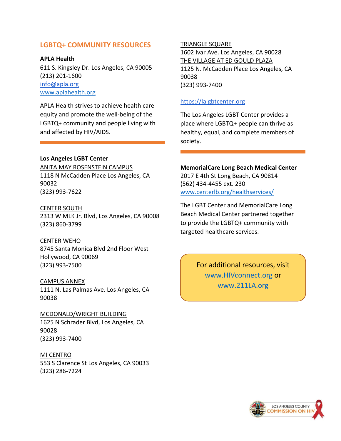## **LGBTQ+ COMMUNITY RESOURCES**

**APLA Health** 611 S. Kingsley Dr. Los Angeles, CA 90005 (213) 201-1600 [info@apla.org](mailto:info@apla.org) [www.aplahealth.org](http://www.aplahealth.org/)

APLA Health strives to achieve health care equity and promote the well-being of the LGBTQ+ community and people living with and affected by HIV/AIDS.

#### **Los Angeles LGBT Center**

ANITA MAY ROSENSTEIN CAMPUS 1118 N McCadden Place Los Angeles, CA 90032 (323) 993-7622

#### CENTER SOUTH

2313 W MLK Jr. Blvd, Los Angeles, CA 90008 (323) 860-3799

#### CENTER WEHO

8745 Santa Monica Blvd 2nd Floor West Hollywood, CA 90069 (323) 993-7500

#### CAMPUS ANNEX

1111 N. Las Palmas Ave. Los Angeles, CA 90038

MCDONALD/WRIGHT BUILDING 1625 N Schrader Blvd, Los Angeles, CA 90028 (323) 993-7400

MI CENTRO 553 S Clarence St Los Angeles, CA 90033 (323) 286-7224

#### TRIANGLE SQUARE

1602 Ivar Ave. Los Angeles, CA 90028 THE VILLAGE AT ED GOULD PLAZA 1125 N. McCadden Place Los Angeles, CA 90038 (323) 993-7400

#### [https://lalgbtcenter.org](https://lalgbtcenter.org/)

The Los Angeles LGBT Center provides a place where LGBTQ+ people can thrive as healthy, equal, and complete members of society.

## **MemorialCare Long Beach Medical Center**

2017 E 4th St Long Beach, CA 90814 (562) 434-4455 ext. 230 [www.centerlb.org/healthservices/](http://www.centerlb.org/healthservices/)

The LGBT Center and MemorialCare Long Beach Medical Center partnered together to provide the LGBTQ+ community with targeted healthcare services.

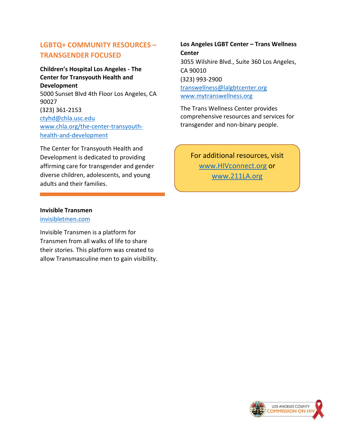## **LGBTQ+ COMMUNITY RESOURCES – TRANSGENDER FOCUSED**

## **Children's Hospital Los Angeles - The Center for Transyouth Health and Development** 5000 Sunset Blvd 4th Floor Los Angeles, CA 90027 (323) 361-2153

[ctyhd@chla.usc.edu](mailto:ctyhd@chla.usc.edu) [www.chla.org/the-center-transyouth](http://www.chla.org/the-center-transyouth-health-and-development)[health-and-development](http://www.chla.org/the-center-transyouth-health-and-development)

The Center for Transyouth Health and Development is dedicated to providing affirming care for transgender and gender diverse children, adolescents, and young adults and their families.

**Los Angeles LGBT Center – Trans Wellness Center** 3055 Wilshire Blvd., Suite 360 Los Angeles, CA 90010 (323) 993-2900 [transwellness@lalgbtcenter.org](mailto:transwellness@lalgbtcenter.org) [www.mytranswellness.org](http://www.mytranswellness.org/)

The Trans Wellness Center provides comprehensive resources and services for transgender and non-binary people.

For additional resources, visit [www.HIVconnect.org](http://www.hivconnect.org/) or [www.211LA.org](http://www.211la.org/) 

#### **Invisible Transmen**

[invisibletmen.com](http://www.invisibletransmen.com/)

Invisible Transmen is a platform for Transmen from all walks of life to share their stories. This platform was created to allow Transmasculine men to gain visibility.